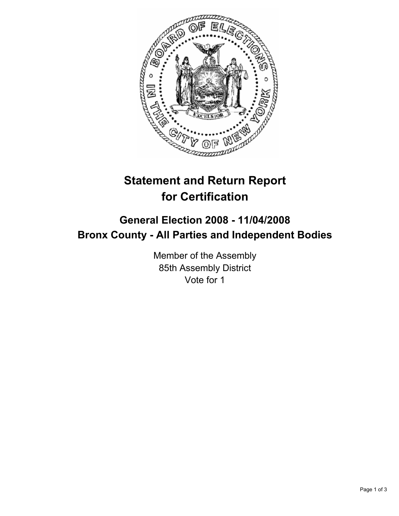

## **Statement and Return Report for Certification**

## **General Election 2008 - 11/04/2008 Bronx County - All Parties and Independent Bodies**

Member of the Assembly 85th Assembly District Vote for 1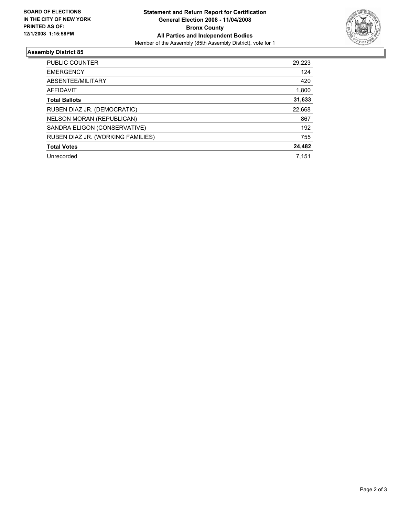

## **Assembly District 85**

| <b>PUBLIC COUNTER</b>             | 29,223 |
|-----------------------------------|--------|
| <b>EMERGENCY</b>                  | 124    |
| ABSENTEE/MILITARY                 | 420    |
| AFFIDAVIT                         | 1,800  |
| <b>Total Ballots</b>              | 31,633 |
| RUBEN DIAZ JR. (DEMOCRATIC)       | 22,668 |
| NELSON MORAN (REPUBLICAN)         | 867    |
| SANDRA ELIGON (CONSERVATIVE)      | 192    |
| RUBEN DIAZ JR. (WORKING FAMILIES) | 755    |
| <b>Total Votes</b>                | 24,482 |
| Unrecorded                        | 7.151  |